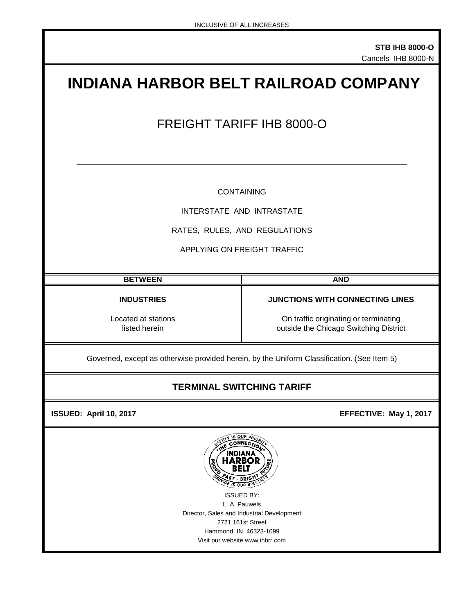# **INDIANA HARBOR BELT RAILROAD COMPANY** FREIGHT TARIFF IHB 8000-O CONTAINING INTERSTATE AND INTRASTATE RATES, RULES, AND REGULATIONS APPLYING ON FREIGHT TRAFFIC **BETWEEN AND INDUSTRIES JUNCTIONS WITH CONNECTING LINES** Located at stations **Located at stations** On traffic originating or terminating listed herein **CON CONSTRESS ON STATION ON TRAFFIC OF A CONSTRESS ON TRAFFIC OF A CONSTRESS OF A CONSTRESS OF A CONSTRESS OF A CONSTRESS OF A** outside the Chicago Switching District Governed, except as otherwise provided herein, by the Uniform Classification. (See Item 5)

## **TERMINAL SWITCHING TARIFF**

 **ISSUED: April 10, 2017 EFFECTIVE: May 1, 2017** 



Visit our website www.ihbrr.com Hammond, IN 46323-1099 ISSUED BY: L. A. Pauwels Director, Sales and Industrial Development 2721 161st Street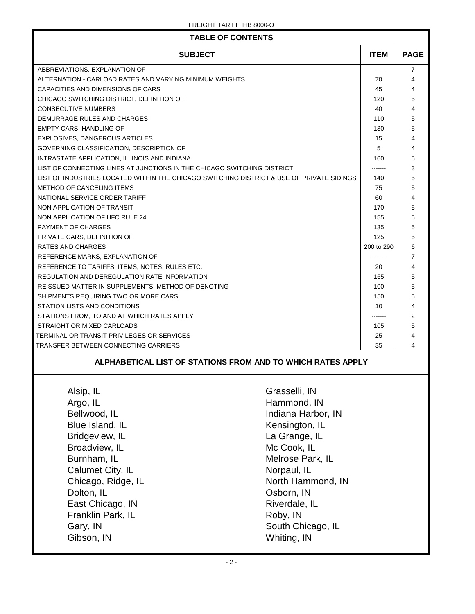| <b>TABLE OF CONTENTS</b>                                                                  |                    |             |                |
|-------------------------------------------------------------------------------------------|--------------------|-------------|----------------|
| <b>SUBJECT</b>                                                                            |                    | <b>ITEM</b> | <b>PAGE</b>    |
| ABBREVIATIONS, EXPLANATION OF                                                             |                    |             | $\overline{7}$ |
| ALTERNATION - CARLOAD RATES AND VARYING MINIMUM WEIGHTS                                   |                    |             | 4              |
| CAPACITIES AND DIMENSIONS OF CARS                                                         |                    |             | 4              |
| CHICAGO SWITCHING DISTRICT, DEFINITION OF                                                 |                    | 120         | 5              |
| <b>CONSECUTIVE NUMBERS</b>                                                                |                    | 40          | 4              |
| DEMURRAGE RULES AND CHARGES                                                               |                    | 110         | 5              |
| <b>EMPTY CARS, HANDLING OF</b>                                                            |                    | 130         | 5              |
| EXPLOSIVES, DANGEROUS ARTICLES                                                            |                    | 15          | 4              |
| GOVERNING CLASSIFICATION, DESCRIPTION OF                                                  |                    | 5           | 4              |
| INTRASTATE APPLICATION, ILLINOIS AND INDIANA                                              |                    | 160         | 5              |
| LIST OF CONNECTING LINES AT JUNCTIONS IN THE CHICAGO SWITCHING DISTRICT                   |                    |             | 3              |
| LIST OF INDUSTRIES LOCATED WITHIN THE CHICAGO SWITCHING DISTRICT & USE OF PRIVATE SIDINGS |                    | 140         | 5              |
| METHOD OF CANCELING ITEMS                                                                 |                    | 75          | 5              |
| NATIONAL SERVICE ORDER TARIFF                                                             |                    | 60          | 4              |
| NON APPLICATION OF TRANSIT                                                                |                    | 170         | 5              |
| NON APPLICATION OF UFC RULE 24                                                            |                    | 155         | 5              |
| <b>PAYMENT OF CHARGES</b>                                                                 |                    | 135         | 5              |
| PRIVATE CARS, DEFINITION OF                                                               |                    | 125         | 5              |
| RATES AND CHARGES                                                                         |                    |             | 6              |
| REFERENCE MARKS, EXPLANATION OF                                                           |                    |             | 7              |
| REFERENCE TO TARIFFS, ITEMS, NOTES, RULES ETC.                                            |                    | 20          | 4              |
| REGULATION AND DEREGULATION RATE INFORMATION                                              |                    | 165         | 5              |
| REISSUED MATTER IN SUPPLEMENTS, METHOD OF DENOTING                                        |                    |             | 5              |
| SHIPMENTS REQUIRING TWO OR MORE CARS                                                      |                    |             | 5              |
| STATION LISTS AND CONDITIONS                                                              |                    |             | 4              |
| STATIONS FROM, TO AND AT WHICH RATES APPLY                                                |                    |             | 2              |
| STRAIGHT OR MIXED CARLOADS                                                                |                    |             | 5              |
| TERMINAL OR TRANSIT PRIVILEGES OR SERVICES                                                |                    |             | 4              |
| TRANSFER BETWEEN CONNECTING CARRIERS                                                      |                    |             | 4              |
| ALPHABETICAL LIST OF STATIONS FROM AND TO WHICH RATES APPLY                               |                    |             |                |
| Alsip, IL                                                                                 | Grasselli, IN      |             |                |
| Argo, IL<br>Hammond, IN                                                                   |                    |             |                |
| Bellwood, IL                                                                              | Indiana Harbor, IN |             |                |
|                                                                                           |                    |             |                |
| Blue Island, IL                                                                           | Kensington, IL     |             |                |
| Bridgeview, IL                                                                            | La Grange, IL      |             |                |
| Broadview, IL                                                                             | Mc Cook, IL        |             |                |
| Burnham, IL<br>Melrose Park, IL                                                           |                    |             |                |
| Calumet City, IL<br>Norpaul, IL                                                           |                    |             |                |
| Chicago, Ridge, IL<br>North Hammond, IN                                                   |                    |             |                |
| Dolton, IL<br>Osborn, IN                                                                  |                    |             |                |
|                                                                                           |                    |             |                |
| East Chicago, IN<br>Riverdale, IL                                                         |                    |             |                |
| Roby, IN<br>Franklin Park, IL                                                             |                    |             |                |
| South Chicago, IL<br>Gary, IN                                                             |                    |             |                |
| Gibson, IN<br>Whiting, IN                                                                 |                    |             |                |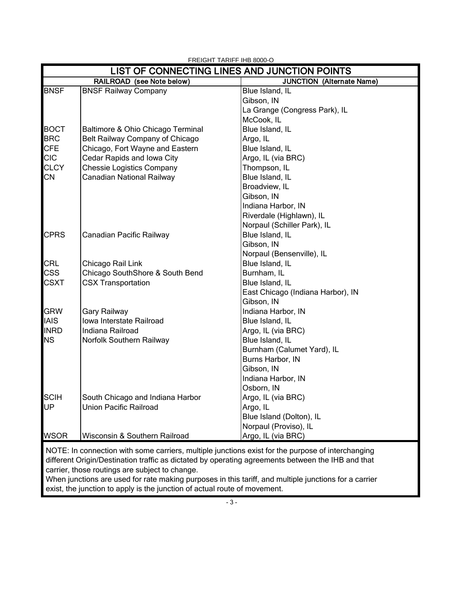| LIST OF CONNECTING LINES AND JUNCTION POINTS |                                   |                                                                                                   |  |
|----------------------------------------------|-----------------------------------|---------------------------------------------------------------------------------------------------|--|
|                                              | RAILROAD (see Note below)         | <b>JUNCTION (Alternate Name)</b>                                                                  |  |
| <b>BNSF</b>                                  | <b>BNSF Railway Company</b>       | Blue Island, IL                                                                                   |  |
|                                              |                                   | Gibson, IN                                                                                        |  |
|                                              |                                   | La Grange (Congress Park), IL                                                                     |  |
|                                              |                                   | McCook, IL                                                                                        |  |
| <b>BOCT</b>                                  | Baltimore & Ohio Chicago Terminal | Blue Island, IL                                                                                   |  |
| <b>BRC</b>                                   | Belt Railway Company of Chicago   | Argo, IL                                                                                          |  |
| <b>CFE</b>                                   | Chicago, Fort Wayne and Eastern   | Blue Island, IL                                                                                   |  |
| <b>CIC</b>                                   | Cedar Rapids and Iowa City        | Argo, IL (via BRC)                                                                                |  |
| <b>CLCY</b>                                  | <b>Chessie Logistics Company</b>  | Thompson, IL                                                                                      |  |
| <b>CN</b>                                    | Canadian National Railway         | Blue Island, IL                                                                                   |  |
|                                              |                                   | Broadview, IL                                                                                     |  |
|                                              |                                   | Gibson, IN                                                                                        |  |
|                                              |                                   | Indiana Harbor, IN                                                                                |  |
|                                              |                                   | Riverdale (Highlawn), IL                                                                          |  |
|                                              |                                   | Norpaul (Schiller Park), IL                                                                       |  |
| <b>CPRS</b>                                  | Canadian Pacific Railway          | Blue Island, IL                                                                                   |  |
|                                              |                                   | Gibson, IN                                                                                        |  |
|                                              |                                   | Norpaul (Bensenville), IL                                                                         |  |
| CRL                                          | Chicago Rail Link                 | Blue Island, IL                                                                                   |  |
| <b>CSS</b>                                   | Chicago SouthShore & South Bend   | Burnham, IL                                                                                       |  |
| <b>CSXT</b>                                  | <b>CSX Transportation</b>         | Blue Island, IL                                                                                   |  |
|                                              |                                   | East Chicago (Indiana Harbor), IN                                                                 |  |
|                                              |                                   | Gibson, IN                                                                                        |  |
| <b>GRW</b>                                   | Gary Railway                      | Indiana Harbor, IN                                                                                |  |
| <b>IAIS</b>                                  | Iowa Interstate Railroad          | Blue Island, IL                                                                                   |  |
| <b>INRD</b>                                  | Indiana Railroad                  | Argo, IL (via BRC)                                                                                |  |
| <b>NS</b>                                    | Norfolk Southern Railway          | Blue Island, IL                                                                                   |  |
|                                              |                                   | Burnham (Calumet Yard), IL                                                                        |  |
|                                              |                                   | Burns Harbor, IN                                                                                  |  |
|                                              |                                   | Gibson, IN                                                                                        |  |
|                                              |                                   | Indiana Harbor, IN                                                                                |  |
|                                              |                                   | Osborn, IN                                                                                        |  |
| <b>SCIH</b>                                  | South Chicago and Indiana Harbor  | Argo, IL (via BRC)                                                                                |  |
| UP                                           | <b>Union Pacific Railroad</b>     | Argo, IL                                                                                          |  |
|                                              |                                   | Blue Island (Dolton), IL                                                                          |  |
|                                              |                                   | Norpaul (Proviso), IL                                                                             |  |
| <b>WSOR</b>                                  | Wisconsin & Southern Railroad     | Argo, IL (via BRC)                                                                                |  |
|                                              |                                   | NOTE: In connection with some carriers, multiple junctions exist for the purpose of interchanging |  |

 different Origin/Destination traffic as dictated by operating agreements between the IHB and that carrier, those routings are subject to change.

When junctions are used for rate making purposes in this tariff, and multiple junctions for a carrier exist, the junction to apply is the junction of actual route of movement.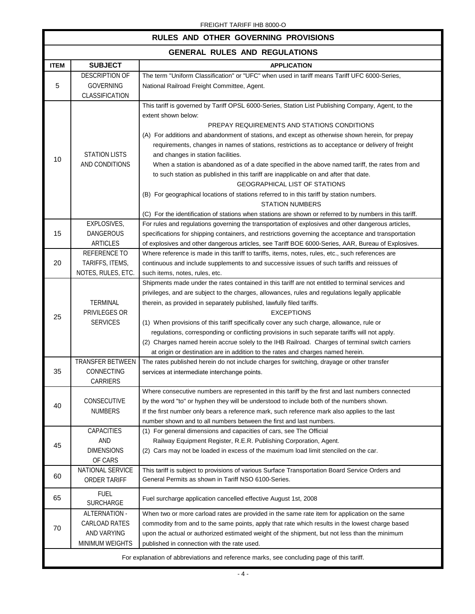| RULES AND OTHER GOVERNING PROVISIONS                                                      |                                                                  |                                                                                                                                                                                                                                                                                                                                                                                                                                                                                                                                                                                                                                                                                                                                                                                                                                                                                              |  |
|-------------------------------------------------------------------------------------------|------------------------------------------------------------------|----------------------------------------------------------------------------------------------------------------------------------------------------------------------------------------------------------------------------------------------------------------------------------------------------------------------------------------------------------------------------------------------------------------------------------------------------------------------------------------------------------------------------------------------------------------------------------------------------------------------------------------------------------------------------------------------------------------------------------------------------------------------------------------------------------------------------------------------------------------------------------------------|--|
| <b>GENERAL RULES AND REGULATIONS</b>                                                      |                                                                  |                                                                                                                                                                                                                                                                                                                                                                                                                                                                                                                                                                                                                                                                                                                                                                                                                                                                                              |  |
| <b>ITEM</b>                                                                               | <b>SUBJECT</b>                                                   | <b>APPLICATION</b>                                                                                                                                                                                                                                                                                                                                                                                                                                                                                                                                                                                                                                                                                                                                                                                                                                                                           |  |
| 5                                                                                         | DESCRIPTION OF<br><b>GOVERNING</b><br>CLASSIFICATION             | The term "Uniform Classification" or "UFC" when used in tariff means Tariff UFC 6000-Series,<br>National Railroad Freight Committee, Agent.                                                                                                                                                                                                                                                                                                                                                                                                                                                                                                                                                                                                                                                                                                                                                  |  |
| 10                                                                                        | <b>STATION LISTS</b><br>AND CONDITIONS                           | This tariff is governed by Tariff OPSL 6000-Series, Station List Publishing Company, Agent, to the<br>extent shown below:<br>PREPAY REQUIREMENTS AND STATIONS CONDITIONS<br>(A) For additions and abandonment of stations, and except as otherwise shown herein, for prepay<br>requirements, changes in names of stations, restrictions as to acceptance or delivery of freight<br>and changes in station facilities.<br>When a station is abandoned as of a date specified in the above named tariff, the rates from and<br>to such station as published in this tariff are inapplicable on and after that date.<br><b>GEOGRAPHICAL LIST OF STATIONS</b><br>(B) For geographical locations of stations referred to in this tariff by station numbers.<br><b>STATION NUMBERS</b><br>(C) For the identification of stations when stations are shown or referred to by numbers in this tariff. |  |
| 15                                                                                        | EXPLOSIVES,<br><b>DANGEROUS</b><br><b>ARTICLES</b>               | For rules and regulations governing the transportation of explosives and other dangerous articles,<br>specifications for shipping containers, and restrictions governing the acceptance and transportation<br>of explosives and other dangerous articles, see Tariff BOE 6000-Series, AAR, Bureau of Explosives.                                                                                                                                                                                                                                                                                                                                                                                                                                                                                                                                                                             |  |
| 20                                                                                        | REFERENCE TO<br>TARIFFS, ITEMS,<br>NOTES, RULES, ETC.            | Where reference is made in this tariff to tariffs, items, notes, rules, etc., such references are<br>continuous and include supplements to and successive issues of such tariffs and reissues of<br>such items, notes, rules, etc.                                                                                                                                                                                                                                                                                                                                                                                                                                                                                                                                                                                                                                                           |  |
| 25                                                                                        | <b>TERMINAL</b><br>PRIVILEGES OR<br><b>SERVICES</b>              | Shipments made under the rates contained in this tariff are not entitled to terminal services and<br>privileges, and are subject to the charges, allowances, rules and regulations legally applicable<br>therein, as provided in separately published, lawfully filed tariffs.<br><b>EXCEPTIONS</b><br>(1) When provisions of this tariff specifically cover any such charge, allowance, rule or<br>regulations, corresponding or conflicting provisions in such separate tariffs will not apply.<br>(2) Charges named herein accrue solely to the IHB Railroad. Charges of terminal switch carriers<br>at origin or destination are in addition to the rates and charges named herein.                                                                                                                                                                                                      |  |
| 35                                                                                        | TRANSFER BETWEEN<br><b>CONNECTING</b><br>CARRIERS                | The rates published herein do not include charges for switching, drayage or other transfer<br>services at intermediate interchange points.                                                                                                                                                                                                                                                                                                                                                                                                                                                                                                                                                                                                                                                                                                                                                   |  |
| 40                                                                                        | CONSECUTIVE<br><b>NUMBERS</b>                                    | Where consecutive numbers are represented in this tariff by the first and last numbers connected<br>by the word "to" or hyphen they will be understood to include both of the numbers shown.<br>If the first number only bears a reference mark, such reference mark also applies to the last<br>number shown and to all numbers between the first and last numbers.                                                                                                                                                                                                                                                                                                                                                                                                                                                                                                                         |  |
| 45                                                                                        | CAPACITIES<br><b>AND</b><br><b>DIMENSIONS</b><br>OF CARS         | (1) For general dimensions and capacities of cars, see The Official<br>Railway Equipment Register, R.E.R. Publishing Corporation, Agent.<br>(2) Cars may not be loaded in excess of the maximum load limit stenciled on the car.                                                                                                                                                                                                                                                                                                                                                                                                                                                                                                                                                                                                                                                             |  |
| 60                                                                                        | NATIONAL SERVICE<br><b>ORDER TARIFF</b>                          | This tariff is subject to provisions of various Surface Transportation Board Service Orders and<br>General Permits as shown in Tariff NSO 6100-Series.                                                                                                                                                                                                                                                                                                                                                                                                                                                                                                                                                                                                                                                                                                                                       |  |
| 65                                                                                        | <b>FUEL</b><br><b>SURCHARGE</b>                                  | Fuel surcharge application cancelled effective August 1st, 2008                                                                                                                                                                                                                                                                                                                                                                                                                                                                                                                                                                                                                                                                                                                                                                                                                              |  |
| 70                                                                                        | ALTERNATION -<br>CARLOAD RATES<br>AND VARYING<br>MINIMUM WEIGHTS | When two or more carload rates are provided in the same rate item for application on the same<br>commodity from and to the same points, apply that rate which results in the lowest charge based<br>upon the actual or authorized estimated weight of the shipment, but not less than the minimum<br>published in connection with the rate used.                                                                                                                                                                                                                                                                                                                                                                                                                                                                                                                                             |  |
| For explanation of abbreviations and reference marks, see concluding page of this tariff. |                                                                  |                                                                                                                                                                                                                                                                                                                                                                                                                                                                                                                                                                                                                                                                                                                                                                                                                                                                                              |  |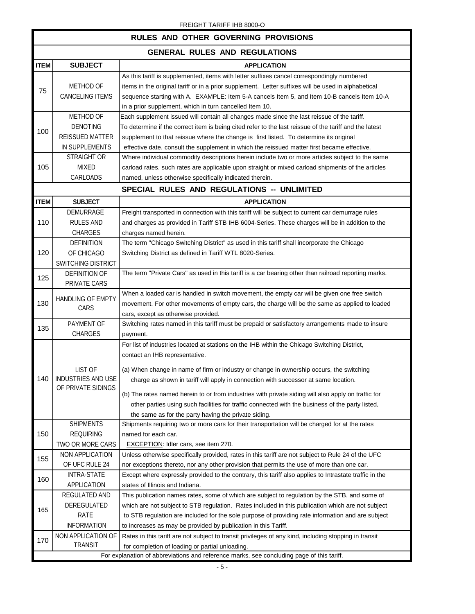| RULES AND OTHER GOVERNING PROVISIONS |                                                                                           |                                                                                                                                                                                                                                                                                                                                                                                                                                                                                                                                                                                      |  |
|--------------------------------------|-------------------------------------------------------------------------------------------|--------------------------------------------------------------------------------------------------------------------------------------------------------------------------------------------------------------------------------------------------------------------------------------------------------------------------------------------------------------------------------------------------------------------------------------------------------------------------------------------------------------------------------------------------------------------------------------|--|
| <b>GENERAL RULES AND REGULATIONS</b> |                                                                                           |                                                                                                                                                                                                                                                                                                                                                                                                                                                                                                                                                                                      |  |
| <b>ITEM</b>                          | <b>SUBJECT</b>                                                                            | <b>APPLICATION</b>                                                                                                                                                                                                                                                                                                                                                                                                                                                                                                                                                                   |  |
| 75                                   | METHOD OF<br><b>CANCELING ITEMS</b>                                                       | As this tariff is supplemented, items with letter suffixes cancel correspondingly numbered<br>items in the original tariff or in a prior supplement. Letter suffixes will be used in alphabetical<br>sequence starting with A. EXAMPLE: Item 5-A cancels Item 5, and Item 10-B cancels Item 10-A<br>in a prior supplement, which in turn cancelled Item 10.                                                                                                                                                                                                                          |  |
|                                      | METHOD OF                                                                                 | Each supplement issued will contain all changes made since the last reissue of the tariff.                                                                                                                                                                                                                                                                                                                                                                                                                                                                                           |  |
| 100                                  | <b>DENOTING</b><br><b>REISSUED MATTER</b><br>IN SUPPLEMENTS                               | To determine if the correct item is being cited refer to the last reissue of the tariff and the latest<br>supplement to that reissue where the change is first listed. To determine its original<br>effective date, consult the supplement in which the reissued matter first became effective.                                                                                                                                                                                                                                                                                      |  |
|                                      | <b>STRAIGHT OR</b>                                                                        | Where individual commodity descriptions herein include two or more articles subject to the same                                                                                                                                                                                                                                                                                                                                                                                                                                                                                      |  |
| 105                                  | <b>MIXED</b><br>CARLOADS                                                                  | carload rates, such rates are applicable upon straight or mixed carload shipments of the articles<br>named, unless otherwise specifically indicated therein.                                                                                                                                                                                                                                                                                                                                                                                                                         |  |
|                                      |                                                                                           | SPECIAL RULES AND REGULATIONS -- UNLIMITED                                                                                                                                                                                                                                                                                                                                                                                                                                                                                                                                           |  |
| <b>ITEM</b>                          | <b>SUBJECT</b>                                                                            | <b>APPLICATION</b>                                                                                                                                                                                                                                                                                                                                                                                                                                                                                                                                                                   |  |
| 110                                  | DEMURRAGE<br><b>RULES AND</b><br><b>CHARGES</b>                                           | Freight transported in connection with this tariff will be subject to current car demurrage rules<br>and charges as provided in Tariff STB IHB 6004-Series. These charges will be in addition to the<br>charges named herein.                                                                                                                                                                                                                                                                                                                                                        |  |
|                                      | <b>DEFINITION</b>                                                                         | The term "Chicago Switching District" as used in this tariff shall incorporate the Chicago                                                                                                                                                                                                                                                                                                                                                                                                                                                                                           |  |
| 120                                  | OF CHICAGO                                                                                | Switching District as defined in Tariff WTL 8020-Series.                                                                                                                                                                                                                                                                                                                                                                                                                                                                                                                             |  |
|                                      | SWITCHING DISTRICT                                                                        |                                                                                                                                                                                                                                                                                                                                                                                                                                                                                                                                                                                      |  |
| 125                                  | <b>DEFINITION OF</b><br>PRIVATE CARS                                                      | The term "Private Cars" as used in this tariff is a car bearing other than railroad reporting marks.                                                                                                                                                                                                                                                                                                                                                                                                                                                                                 |  |
| 130                                  | <b>HANDLING OF EMPTY</b><br>CARS                                                          | When a loaded car is handled in switch movement, the empty car will be given one free switch<br>movement. For other movements of empty cars, the charge will be the same as applied to loaded<br>cars, except as otherwise provided.                                                                                                                                                                                                                                                                                                                                                 |  |
| 135                                  | PAYMENT OF<br><b>CHARGES</b>                                                              | Switching rates named in this tariff must be prepaid or satisfactory arrangements made to insure<br>payment.                                                                                                                                                                                                                                                                                                                                                                                                                                                                         |  |
| 140                                  | LIST OF<br>INDUSTRIES AND USE<br>OF PRIVATE SIDINGS                                       | For list of industries located at stations on the IHB within the Chicago Switching District,<br>contact an IHB representative.<br>(a) When change in name of firm or industry or change in ownership occurs, the switching<br>charge as shown in tariff will apply in connection with successor at same location.<br>(b) The rates named herein to or from industries with private siding will also apply on traffic for<br>other parties using such facilities for traffic connected with the business of the party listed,<br>the same as for the party having the private siding. |  |
|                                      | <b>SHIPMENTS</b>                                                                          | Shipments requiring two or more cars for their transportation will be charged for at the rates                                                                                                                                                                                                                                                                                                                                                                                                                                                                                       |  |
| 150                                  | <b>REQUIRING</b>                                                                          | named for each car.                                                                                                                                                                                                                                                                                                                                                                                                                                                                                                                                                                  |  |
|                                      | TWO OR MORE CARS<br><b>NON APPLICATION</b>                                                | <b>EXCEPTION:</b> Idler cars, see item 270.<br>Unless otherwise specifically provided, rates in this tariff are not subject to Rule 24 of the UFC                                                                                                                                                                                                                                                                                                                                                                                                                                    |  |
| 155                                  | OF UFC RULE 24                                                                            | nor exceptions thereto, nor any other provision that permits the use of more than one car.                                                                                                                                                                                                                                                                                                                                                                                                                                                                                           |  |
| 160                                  | <b>INTRA-STATE</b><br>APPLICATION                                                         | Except where expressly provided to the contrary, this tariff also applies to Intrastate traffic in the<br>states of Illinois and Indiana.                                                                                                                                                                                                                                                                                                                                                                                                                                            |  |
| 165                                  | REGULATED AND<br>DEREGULATED<br>RATE<br><b>INFORMATION</b>                                | This publication names rates, some of which are subject to regulation by the STB, and some of<br>which are not subject to STB regulation. Rates included in this publication which are not subject<br>to STB regulation are included for the sole purpose of providing rate information and are subject<br>to increases as may be provided by publication in this Tariff.                                                                                                                                                                                                            |  |
| 170                                  | NON APPLICATION OF<br><b>TRANSIT</b>                                                      | Rates in this tariff are not subject to transit privileges of any kind, including stopping in transit<br>for completion of loading or partial unloading.                                                                                                                                                                                                                                                                                                                                                                                                                             |  |
|                                      | For explanation of abbreviations and reference marks, see concluding page of this tariff. |                                                                                                                                                                                                                                                                                                                                                                                                                                                                                                                                                                                      |  |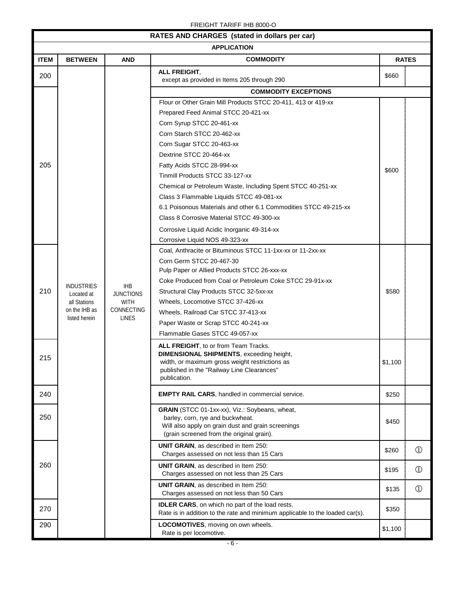| RATES AND CHARGES (stated in dollars per car) |                   |                  |                                                                                                 |              |               |  |
|-----------------------------------------------|-------------------|------------------|-------------------------------------------------------------------------------------------------|--------------|---------------|--|
|                                               |                   |                  | <b>APPLICATION</b>                                                                              |              |               |  |
| <b>ITEM</b>                                   | <b>BETWEEN</b>    | <b>AND</b>       | <b>COMMODITY</b>                                                                                | <b>RATES</b> |               |  |
| 200                                           |                   |                  | ALL FREIGHT,<br>except as provided in Items 205 through 290                                     | \$660        |               |  |
|                                               |                   |                  | <b>COMMODITY EXCEPTIONS</b>                                                                     |              |               |  |
|                                               |                   |                  | Flour or Other Grain Mill Products STCC 20-411, 413 or 419-xx                                   |              |               |  |
|                                               |                   |                  | Prepared Feed Animal STCC 20-421-xx                                                             |              |               |  |
|                                               |                   |                  | Corn Syrup STCC 20-461-xx                                                                       |              |               |  |
|                                               |                   |                  | Corn Starch STCC 20-462-xx                                                                      |              |               |  |
|                                               |                   |                  | Corn Sugar STCC 20-463-xx                                                                       |              |               |  |
|                                               |                   |                  | Dextrine STCC 20-464-xx                                                                         |              |               |  |
| 205                                           |                   |                  | Fatty Acids STCC 28-994-xx                                                                      | \$600        |               |  |
|                                               |                   |                  | Tinmill Products STCC 33-127-xx                                                                 |              |               |  |
|                                               |                   |                  | Chemical or Petroleum Waste, Including Spent STCC 40-251-xx                                     |              |               |  |
|                                               |                   |                  | Class 3 Flammable Liquids STCC 49-081-xx                                                        |              |               |  |
|                                               |                   |                  | 6.1 Poisonous Materials and other 6.1 Commodities STCC 49-215-xx                                |              |               |  |
|                                               |                   |                  | Class 8 Corrosive Material STCC 49-300-xx                                                       |              |               |  |
|                                               |                   |                  | Corrosive Liquid Acidic Inorganic 49-314-xx                                                     |              |               |  |
|                                               |                   |                  | Corrosive Liquid NOS 49-323-xx                                                                  |              |               |  |
|                                               |                   |                  | Coal, Anthracite or Bituminous STCC 11-1xx-xx or 11-2xx-xx                                      |              |               |  |
|                                               |                   |                  | Corn Germ STCC 20-467-30                                                                        |              |               |  |
|                                               |                   |                  | Pulp Paper or Allied Products STCC 26-xxx-xx                                                    |              |               |  |
|                                               | <b>INDUSTRIES</b> | <b>IHB</b>       | Coke Produced from Coal or Petroleum Coke STCC 29-91x-xx                                        |              |               |  |
| 210                                           | Located at        | <b>JUNCTIONS</b> | Structural Clay Products STCC 32-5xx-xx                                                         | \$580        |               |  |
|                                               | all Stations      | <b>WITH</b>      | Wheels, Locomotive STCC 37-426-xx                                                               |              |               |  |
|                                               | on the IHB as     | CONNECTING       | Wheels, Railroad Car STCC 37-413-xx                                                             |              |               |  |
|                                               | listed herein     | <b>LINES</b>     | Paper Waste or Scrap STCC 40-241-xx                                                             |              |               |  |
|                                               |                   |                  | Flammable Gases STCC 49-057-xx                                                                  |              |               |  |
|                                               |                   |                  | <b>ALL FREIGHT, to or from Team Tracks.</b>                                                     |              |               |  |
| 215                                           |                   |                  | <b>DIMENSIONAL SHIPMENTS, exceeding height,</b>                                                 |              |               |  |
|                                               |                   |                  | width, or maximum gross weight restrictions as<br>published in the "Railway Line Clearances"    | \$1,100      |               |  |
|                                               |                   |                  | publication.                                                                                    |              |               |  |
|                                               |                   |                  |                                                                                                 |              |               |  |
| 240                                           |                   |                  | <b>EMPTY RAIL CARS, handled in commercial service.</b>                                          | \$250        |               |  |
|                                               |                   |                  | GRAIN (STCC 01-1xx-xx), Viz.: Soybeans, wheat,                                                  |              |               |  |
| 250                                           |                   |                  | barley, corn, rye and buckwheat.                                                                | \$450        |               |  |
|                                               |                   |                  | Will also apply on grain dust and grain screenings<br>(grain screened from the original grain). |              |               |  |
|                                               |                   |                  | <b>UNIT GRAIN, as described in Item 250:</b>                                                    |              |               |  |
|                                               |                   |                  | Charges assessed on not less than 15 Cars                                                       | \$260        | $\circled{1}$ |  |
| 260                                           |                   |                  | UNIT GRAIN, as described in Item 250:<br>Charges assessed on not less than 25 Cars              | \$195        | $\circled{1}$ |  |
|                                               |                   |                  |                                                                                                 |              |               |  |
|                                               |                   |                  | <b>UNIT GRAIN, as described in Item 250:</b><br>Charges assessed on not less than 50 Cars       | \$135        | $\circled{1}$ |  |
| 270                                           |                   |                  | <b>IDLER CARS</b> , on which no part of the load rests.                                         | \$350        |               |  |
|                                               |                   |                  | Rate is in addition to the rate and minimum applicable to the loaded car(s).                    |              |               |  |
| 290                                           |                   |                  | LOCOMOTIVES, moving on own wheels.<br>Rate is per locomotive.                                   | \$1,100      |               |  |